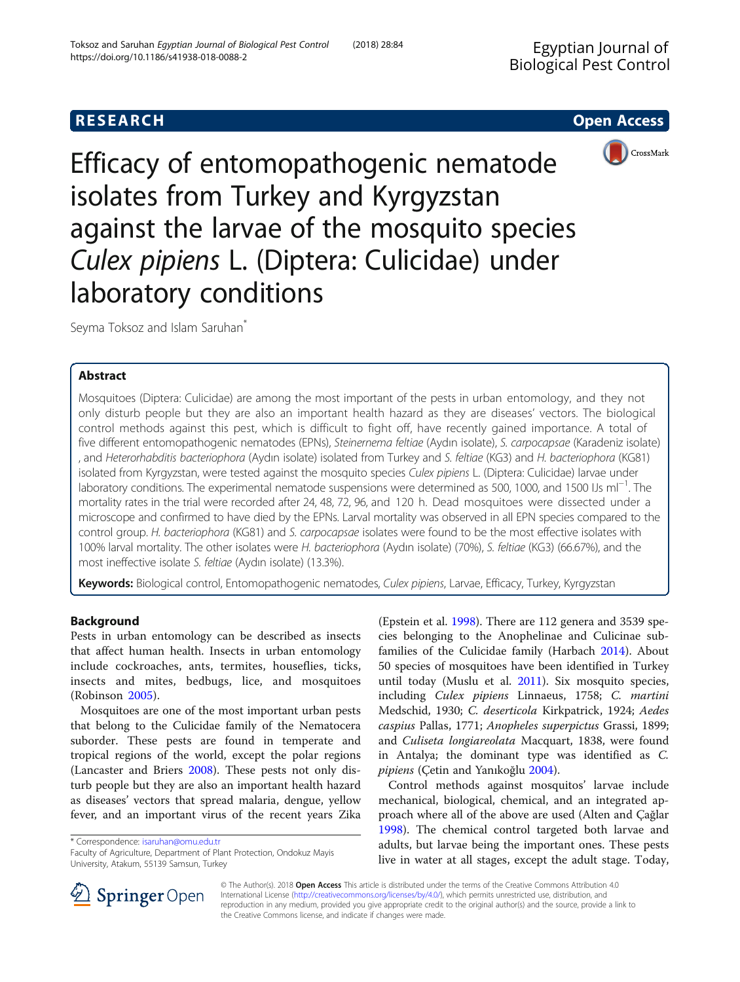



Efficacy of entomopathogenic nematode isolates from Turkey and Kyrgyzstan against the larvae of the mosquito species Culex pipiens L. (Diptera: Culicidae) under laboratory conditions

Seyma Toksoz and Islam Saruhan<sup>\*</sup>

# Abstract

Mosquitoes (Diptera: Culicidae) are among the most important of the pests in urban entomology, and they not only disturb people but they are also an important health hazard as they are diseases' vectors. The biological control methods against this pest, which is difficult to fight off, have recently gained importance. A total of five different entomopathogenic nematodes (EPNs), Steinernema feltiae (Aydın isolate), S. carpocapsae (Karadeniz isolate) , and Heterorhabditis bacteriophora (Aydın isolate) isolated from Turkey and S. feltiae (KG3) and H. bacteriophora (KG81) isolated from Kyrgyzstan, were tested against the mosquito species Culex pipiens L. (Diptera: Culicidae) larvae under laboratory conditions. The experimental nematode suspensions were determined as 500, 1000, and 1500 IJs ml−<sup>1</sup> . The mortality rates in the trial were recorded after 24, 48, 72, 96, and 120 h. Dead mosquitoes were dissected under a microscope and confirmed to have died by the EPNs. Larval mortality was observed in all EPN species compared to the control group. H. bacteriophora (KG81) and S. carpocapsae isolates were found to be the most effective isolates with 100% larval mortality. The other isolates were H. bacteriophora (Aydın isolate) (70%), S. feltiae (KG3) (66.67%), and the most ineffective isolate S. feltiae (Aydın isolate) (13.3%).

Keywords: Biological control, Entomopathogenic nematodes, Culex pipiens, Larvae, Efficacy, Turkey, Kyrgyzstan

# Background

Pests in urban entomology can be described as insects that affect human health. Insects in urban entomology include cockroaches, ants, termites, houseflies, ticks, insects and mites, bedbugs, lice, and mosquitoes (Robinson [2005](#page-4-0)).

Mosquitoes are one of the most important urban pests that belong to the Culicidae family of the Nematocera suborder. These pests are found in temperate and tropical regions of the world, except the polar regions (Lancaster and Briers [2008](#page-4-0)). These pests not only disturb people but they are also an important health hazard as diseases' vectors that spread malaria, dengue, yellow fever, and an important virus of the recent years Zika

\* Correspondence: [isaruhan@omu.edu.tr](mailto:isaruhan@omu.edu.tr)

Faculty of Agriculture, Department of Plant Protection, Ondokuz Mayis University, Atakum, 55139 Samsun, Turkey

(Epstein et al. [1998\)](#page-4-0). There are 112 genera and 3539 species belonging to the Anophelinae and Culicinae subfamilies of the Culicidae family (Harbach [2014](#page-4-0)). About 50 species of mosquitoes have been identified in Turkey until today (Muslu et al. [2011](#page-4-0)). Six mosquito species, including Culex pipiens Linnaeus, 1758; C. martini Medschid, 1930; C. deserticola Kirkpatrick, 1924; Aedes caspius Pallas, 1771; Anopheles superpictus Grassi, 1899; and Culiseta longiareolata Macquart, 1838, were found in Antalya; the dominant type was identified as C. pipiens (Çetin and Yanıkoğlu [2004\)](#page-4-0).

Control methods against mosquitos' larvae include mechanical, biological, chemical, and an integrated approach where all of the above are used (Alten and Çağlar [1998](#page-4-0)). The chemical control targeted both larvae and adults, but larvae being the important ones. These pests live in water at all stages, except the adult stage. Today,



© The Author(s). 2018 Open Access This article is distributed under the terms of the Creative Commons Attribution 4.0 International License ([http://creativecommons.org/licenses/by/4.0/\)](http://creativecommons.org/licenses/by/4.0/), which permits unrestricted use, distribution, and reproduction in any medium, provided you give appropriate credit to the original author(s) and the source, provide a link to the Creative Commons license, and indicate if changes were made.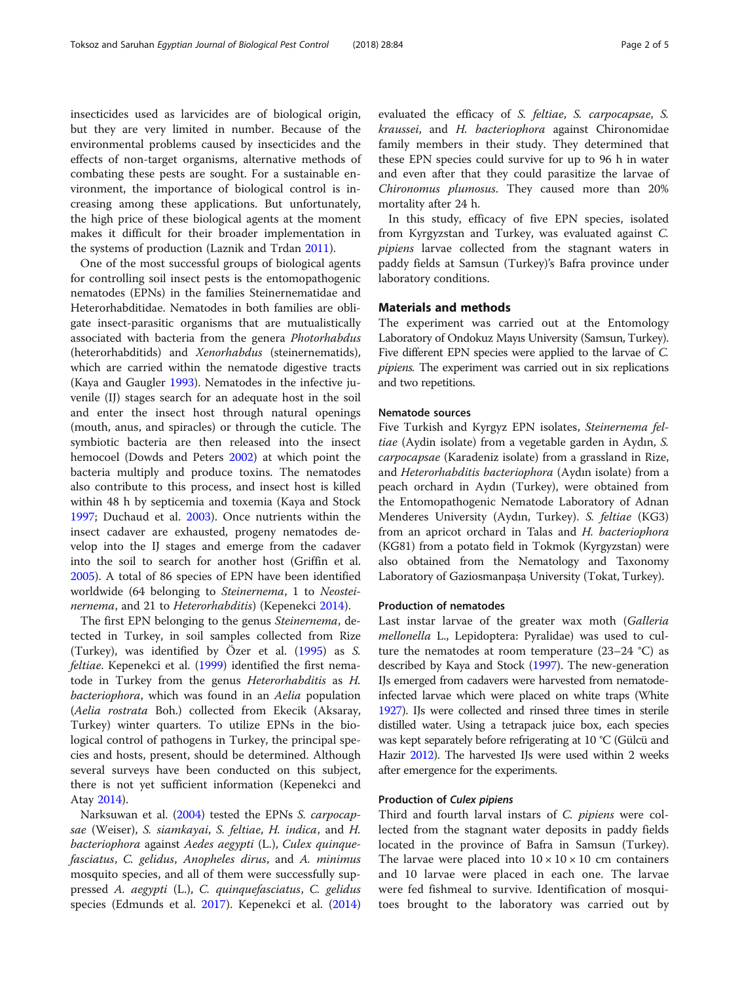insecticides used as larvicides are of biological origin, but they are very limited in number. Because of the environmental problems caused by insecticides and the effects of non-target organisms, alternative methods of combating these pests are sought. For a sustainable environment, the importance of biological control is increasing among these applications. But unfortunately, the high price of these biological agents at the moment makes it difficult for their broader implementation in the systems of production (Laznik and Trdan [2011](#page-4-0)).

One of the most successful groups of biological agents for controlling soil insect pests is the entomopathogenic nematodes (EPNs) in the families Steinernematidae and Heterorhabditidae. Nematodes in both families are obligate insect-parasitic organisms that are mutualistically associated with bacteria from the genera Photorhabdus (heterorhabditids) and Xenorhabdus (steinernematids), which are carried within the nematode digestive tracts (Kaya and Gaugler [1993](#page-4-0)). Nematodes in the infective juvenile (IJ) stages search for an adequate host in the soil and enter the insect host through natural openings (mouth, anus, and spiracles) or through the cuticle. The symbiotic bacteria are then released into the insect hemocoel (Dowds and Peters [2002](#page-4-0)) at which point the bacteria multiply and produce toxins. The nematodes also contribute to this process, and insect host is killed within 48 h by septicemia and toxemia (Kaya and Stock [1997](#page-4-0); Duchaud et al. [2003\)](#page-4-0). Once nutrients within the insect cadaver are exhausted, progeny nematodes develop into the IJ stages and emerge from the cadaver into the soil to search for another host (Griffin et al. [2005](#page-4-0)). A total of 86 species of EPN have been identified worldwide (64 belonging to Steinernema, 1 to Neostei-nernema, and 21 to Heterorhabditis) (Kepenekci [2014](#page-4-0)).

The first EPN belonging to the genus Steinernema, detected in Turkey, in soil samples collected from Rize (Turkey), was identified by Özer et al. [\(1995\)](#page-4-0) as S. feltiae. Kepenekci et al. [\(1999\)](#page-4-0) identified the first nematode in Turkey from the genus Heterorhabditis as H. bacteriophora, which was found in an Aelia population (Aelia rostrata Boh.) collected from Ekecik (Aksaray, Turkey) winter quarters. To utilize EPNs in the biological control of pathogens in Turkey, the principal species and hosts, present, should be determined. Although several surveys have been conducted on this subject, there is not yet sufficient information (Kepenekci and Atay [2014](#page-4-0)).

Narksuwan et al. [\(2004\)](#page-4-0) tested the EPNs S. carpocapsae (Weiser), S. siamkayai, S. feltiae, H. indica, and H. bacteriophora against Aedes aegypti (L.), Culex quinquefasciatus, C. gelidus, Anopheles dirus, and A. minimus mosquito species, and all of them were successfully suppressed A. aegypti (L.), C. quinquefasciatus, C. gelidus species (Edmunds et al. [2017\)](#page-4-0). Kepenekci et al. ([2014](#page-4-0)) evaluated the efficacy of S. feltiae, S. carpocapsae, S. kraussei, and H. bacteriophora against Chironomidae family members in their study. They determined that these EPN species could survive for up to 96 h in water and even after that they could parasitize the larvae of Chironomus plumosus. They caused more than 20% mortality after 24 h.

In this study, efficacy of five EPN species, isolated from Kyrgyzstan and Turkey, was evaluated against C. pipiens larvae collected from the stagnant waters in paddy fields at Samsun (Turkey)'s Bafra province under laboratory conditions.

## Materials and methods

The experiment was carried out at the Entomology Laboratory of Ondokuz Mayıs University (Samsun, Turkey). Five different EPN species were applied to the larvae of C. pipiens. The experiment was carried out in six replications and two repetitions.

## Nematode sources

Five Turkish and Kyrgyz EPN isolates, Steinernema feltiae (Aydin isolate) from a vegetable garden in Aydın, S. carpocapsae (Karadeniz isolate) from a grassland in Rize, and Heterorhabditis bacteriophora (Aydın isolate) from a peach orchard in Aydın (Turkey), were obtained from the Entomopathogenic Nematode Laboratory of Adnan Menderes University (Aydın, Turkey). S. feltiae (KG3) from an apricot orchard in Talas and H. bacteriophora (KG81) from a potato field in Tokmok (Kyrgyzstan) were also obtained from the Nematology and Taxonomy Laboratory of Gaziosmanpaşa University (Tokat, Turkey).

## Production of nematodes

Last instar larvae of the greater wax moth (Galleria mellonella L., Lepidoptera: Pyralidae) was used to culture the nematodes at room temperature  $(23-24 \degree C)$  as described by Kaya and Stock ([1997](#page-4-0)). The new-generation IJs emerged from cadavers were harvested from nematodeinfected larvae which were placed on white traps (White [1927\)](#page-4-0). IJs were collected and rinsed three times in sterile distilled water. Using a tetrapack juice box, each species was kept separately before refrigerating at 10 °C (Gülcü and Hazir [2012](#page-4-0)). The harvested IJs were used within 2 weeks after emergence for the experiments.

## Production of Culex pipiens

Third and fourth larval instars of C. *pipiens* were collected from the stagnant water deposits in paddy fields located in the province of Bafra in Samsun (Turkey). The larvae were placed into  $10 \times 10 \times 10$  cm containers and 10 larvae were placed in each one. The larvae were fed fishmeal to survive. Identification of mosquitoes brought to the laboratory was carried out by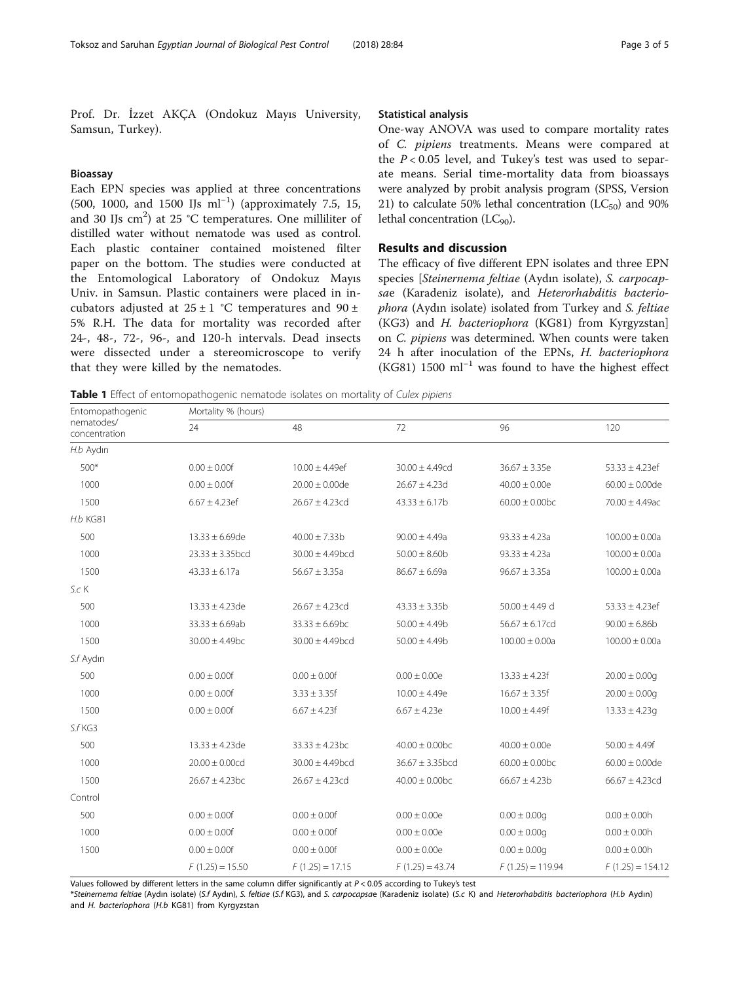<span id="page-2-0"></span>Prof. Dr. İzzet AKÇA (Ondokuz Mayıs University, Samsun, Turkey).

## Bioassay

Each EPN species was applied at three concentrations (500, 1000, and 1500 IJs ml−<sup>1</sup> ) (approximately 7.5, 15, and 30 IJs  $\text{cm}^2$ ) at 25 °C temperatures. One milliliter of distilled water without nematode was used as control. Each plastic container contained moistened filter paper on the bottom. The studies were conducted at the Entomological Laboratory of Ondokuz Mayıs Univ. in Samsun. Plastic containers were placed in incubators adjusted at  $25 \pm 1$  °C temperatures and  $90 \pm$ 5% R.H. The data for mortality was recorded after 24-, 48-, 72-, 96-, and 120-h intervals. Dead insects were dissected under a stereomicroscope to verify that they were killed by the nematodes.

## Statistical analysis

One-way ANOVA was used to compare mortality rates of C. pipiens treatments. Means were compared at the  $P < 0.05$  level, and Tukey's test was used to separate means. Serial time-mortality data from bioassays were analyzed by probit analysis program (SPSS, Version 21) to calculate 50% lethal concentration  $(LC_{50})$  and 90% lethal concentration  $(LC_{90})$ .

## Results and discussion

The efficacy of five different EPN isolates and three EPN species [Steinernema feltiae (Aydın isolate), S. carpocapsae (Karadeniz isolate), and Heterorhabditis bacteriophora (Aydın isolate) isolated from Turkey and S. feltiae (KG3) and H. bacteriophora (KG81) from Kyrgyzstan] on C. pipiens was determined. When counts were taken 24 h after inoculation of the EPNs, H. bacteriophora (KG81) 1500 ml−<sup>1</sup> was found to have the highest effect

Table 1 Effect of entomopathogenic nematode isolates on mortality of Culex pipiens

| Entomopathogenic            | Mortality % (hours)  |                      |                                |                                |                     |  |  |
|-----------------------------|----------------------|----------------------|--------------------------------|--------------------------------|---------------------|--|--|
| nematodes/<br>concentration | 24                   | 48                   | 72                             | 96                             | 120                 |  |  |
| H.b Aydın                   |                      |                      |                                |                                |                     |  |  |
| 500*                        | $0.00 \pm 0.00f$     | $10.00 \pm 4.49$ ef  | $30.00 \pm 4.49$ cd            | $36.67 \pm 3.35e$              | $53.33 \pm 4.23$ ef |  |  |
| 1000                        | $0.00 \pm 0.00f$     | $20.00 \pm 0.00$ de  | $26.67 \pm 4.23$ d             | $40.00 \pm 0.00e$              | $60.00 \pm 0.00$ de |  |  |
| 1500                        | $6.67 \pm 4.23$ ef   | $26.67 \pm 4.23$ cd  | $43.33 \pm 6.17b$              | $60.00 \pm 0.00$ <sub>bc</sub> | $70.00 \pm 4.49$ ac |  |  |
| <b>H.b KG81</b>             |                      |                      |                                |                                |                     |  |  |
| 500                         | $13.33 \pm 6.69$ de  | $40.00 \pm 7.33b$    | $90.00 \pm 4.49a$              | $93.33 \pm 4.23a$              | $100.00 \pm 0.00a$  |  |  |
| 1000                        | $23.33 \pm 3.35$ bcd | $30.00 \pm 4.49$ bcd | $50.00 \pm 8.60$               | $93.33 \pm 4.23a$              | $100.00 \pm 0.00a$  |  |  |
| 1500                        | $43.33 \pm 6.17a$    | $56.67 \pm 3.35a$    | $86.67 \pm 6.69a$              | $96.67 \pm 3.35a$              | $100.00 \pm 0.00a$  |  |  |
| S.c K                       |                      |                      |                                |                                |                     |  |  |
| 500                         | $13.33 \pm 4.23$ de  | $26.67 \pm 4.23$ cd  | $43.33 \pm 3.35b$              | $50.00 \pm 4.49$ d             | $53.33 \pm 4.23$ ef |  |  |
| 1000                        | $33.33 \pm 6.69ab$   | $33.33 \pm 6.69$ bc  | $50.00 \pm 4.49$ b             | $56.67 \pm 6.17$ cd            | $90.00 \pm 6.86$    |  |  |
| 1500                        | $30.00 \pm 4.49$ bc  | $30.00 \pm 4.49$ bcd | $50.00 \pm 4.49$ b             | $100.00 \pm 0.00a$             | $100.00 \pm 0.00a$  |  |  |
| S.f Aydın                   |                      |                      |                                |                                |                     |  |  |
| 500                         | $0.00 \pm 0.00f$     | $0.00 \pm 0.00f$     | $0.00 \pm 0.00e$               | $13.33 \pm 4.23f$              | $20.00 \pm 0.00q$   |  |  |
| 1000                        | $0.00 \pm 0.00f$     | $3.33 \pm 3.35f$     | $10.00 \pm 4.49e$              | $16.67 \pm 3.35f$              | $20.00 \pm 0.00q$   |  |  |
| 1500                        | $0.00 \pm 0.00f$     | $6.67 \pm 4.23f$     | $6.67 \pm 4.23e$               | $10.00 \pm 4.49f$              | $13.33 \pm 4.23g$   |  |  |
| S.f KG3                     |                      |                      |                                |                                |                     |  |  |
| 500                         | $13.33 \pm 4.23$ de  | $33.33 \pm 4.23$ bc  | $40.00 \pm 0.00$ <sub>bc</sub> | $40.00 \pm 0.00e$              | $50.00 \pm 4.49f$   |  |  |
| 1000                        | $20.00 \pm 0.00$ cd  | $30.00 \pm 4.49$ bcd | $36.67 \pm 3.35$ bcd           | $60.00 \pm 0.00$ <sub>bc</sub> | $60.00 \pm 0.00$ de |  |  |
| 1500                        | $26.67 \pm 4.23$ bc  | $26.67 \pm 4.23$ cd  | $40.00 \pm 0.00$ <sub>bc</sub> | $66.67 \pm 4.23b$              | $66.67 \pm 4.23$ cd |  |  |
| Control                     |                      |                      |                                |                                |                     |  |  |
| 500                         | $0.00 \pm 0.00f$     | $0.00 \pm 0.00f$     | $0.00 \pm 0.00e$               | $0.00 \pm 0.00q$               | $0.00 \pm 0.00h$    |  |  |
| 1000                        | $0.00 \pm 0.00f$     | $0.00 \pm 0.00f$     | $0.00 \pm 0.00e$               | $0.00 \pm 0.00q$               | $0.00 \pm 0.00h$    |  |  |
| 1500                        | $0.00 \pm 0.00f$     | $0.00 \pm 0.00f$     | $0.00 \pm 0.00e$               | $0.00 \pm 0.00q$               | $0.00 \pm 0.00h$    |  |  |
|                             | $F(1.25) = 15.50$    | $F(1.25) = 17.15$    | $F(1.25) = 43.74$              | $F(1.25) = 119.94$             | $F(1.25) = 154.12$  |  |  |

Values followed by different letters in the same column differ significantly at  $P < 0.05$  according to Tukey's test

\*Steinernema feltiae (Aydın isolate) (S.f Aydın), S. feltiae (S.f KG3), and S. carpocapsae (Karadeniz isolate) (S.c K) and Heterorhabditis bacteriophora (H.b Aydın) and H. bacteriophora (H.b KG81) from Kyrgyzstan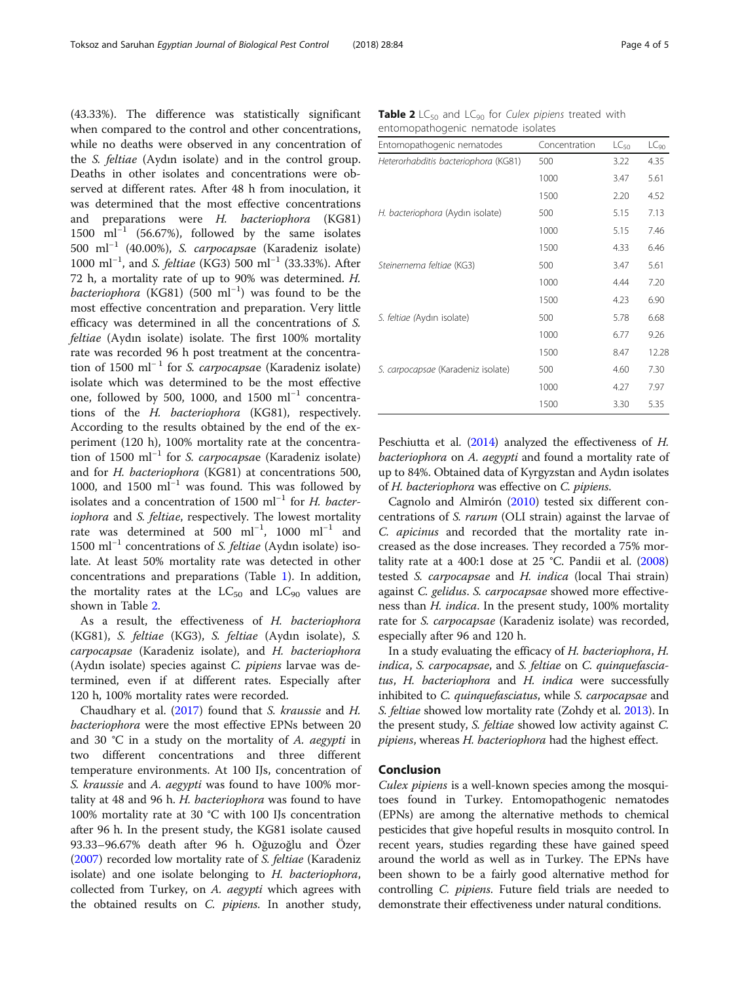(43.33%). The difference was statistically significant when compared to the control and other concentrations, while no deaths were observed in any concentration of the S. feltiae (Aydın isolate) and in the control group. Deaths in other isolates and concentrations were observed at different rates. After 48 h from inoculation, it was determined that the most effective concentrations and preparations were H. bacteriophora (KG81) 1500 ml<sup>-1</sup> (56.67%), followed by the same isolates 500 ml−<sup>1</sup> (40.00%), S. carpocapsae (Karadeniz isolate) 1000 ml<sup>-1</sup>, and S. feltiae (KG3) 500 ml<sup>-1</sup> (33.33%). After 72 h, a mortality rate of up to 90% was determined. H. bacteriophora (KG81) (500 ml<sup>-1</sup>) was found to be the most effective concentration and preparation. Very little efficacy was determined in all the concentrations of S. feltiae (Aydın isolate) isolate. The first 100% mortality rate was recorded 96 h post treatment at the concentration of 1500 ml<sup>-1</sup> for *S. carpocapsae* (Karadeniz isolate) isolate which was determined to be the most effective one, followed by 500, 1000, and 1500 ml<sup>-1</sup> concentrations of the H. bacteriophora (KG81), respectively. According to the results obtained by the end of the experiment (120 h), 100% mortality rate at the concentration of 1500 ml<sup>-1</sup> for *S. carpocapsae* (Karadeniz isolate) and for H. bacteriophora (KG81) at concentrations 500, 1000, and 1500 ml−<sup>1</sup> was found. This was followed by isolates and a concentration of 1500 ml<sup>-1</sup> for *H. bacter*iophora and S. feltiae, respectively. The lowest mortality rate was determined at 500 ml−<sup>1</sup> , 1000 ml−<sup>1</sup> and 1500 ml−<sup>1</sup> concentrations of S. feltiae (Aydın isolate) isolate. At least 50% mortality rate was detected in other concentrations and preparations (Table [1\)](#page-2-0). In addition, the mortality rates at the  $LC_{50}$  and  $LC_{90}$  values are shown in Table 2.

As a result, the effectiveness of H. bacteriophora (KG81), S. feltiae (KG3), S. feltiae (Aydın isolate), S. carpocapsae (Karadeniz isolate), and H. bacteriophora (Aydın isolate) species against C. pipiens larvae was determined, even if at different rates. Especially after 120 h, 100% mortality rates were recorded.

Chaudhary et al. ([2017](#page-4-0)) found that S. kraussie and H. bacteriophora were the most effective EPNs between 20 and 30 °C in a study on the mortality of A. aegypti in two different concentrations and three different temperature environments. At 100 IJs, concentration of S. kraussie and A. aegypti was found to have 100% mortality at 48 and 96 h. H. bacteriophora was found to have 100% mortality rate at 30 °C with 100 IJs concentration after 96 h. In the present study, the KG81 isolate caused 93.33–96.67% death after 96 h. Oğuzoğlu and Özer ([2007](#page-4-0)) recorded low mortality rate of S. feltiae (Karadeniz isolate) and one isolate belonging to H. bacteriophora, collected from Turkey, on A. aegypti which agrees with the obtained results on C. *pipiens*. In another study,

| <b>Table 2</b> LC <sub>50</sub> and LC <sub>90</sub> for <i>Culex pipiens</i> treated with |  |  |  |
|--------------------------------------------------------------------------------------------|--|--|--|
| entomopathogenic nematode isolates                                                         |  |  |  |

| Entomopathogenic nematodes           | Concentration | $LC_{50}$ | $LC_{90}$ |
|--------------------------------------|---------------|-----------|-----------|
| Heterorhabditis bacteriophora (KG81) | 500           | 3.22      | 4.35      |
|                                      | 1000          | 3.47      | 5.61      |
|                                      | 1500          | 2.20      | 4.52      |
| H. bacteriophora (Aydın isolate)     | 500           | 5.15      | 7.13      |
|                                      | 1000          | 5.15      | 7.46      |
|                                      | 1500          | 4.33      | 6.46      |
| Steinernema feltiae (KG3)            | 500           | 3.47      | 5.61      |
|                                      | 1000          | 4.44      | 7.20      |
|                                      | 1500          | 4.23      | 6.90      |
| S. feltiae (Aydın isolate)           | 500           | 5.78      | 6.68      |
|                                      | 1000          | 6.77      | 9.26      |
|                                      | 1500          | 8.47      | 12.28     |
| S. carpocapsae (Karadeniz isolate)   | 500           | 4.60      | 7.30      |
|                                      | 1000          | 4.27      | 7.97      |
|                                      | 1500          | 3.30      | 5.35      |

Peschiutta et al. [\(2014](#page-4-0)) analyzed the effectiveness of H. bacteriophora on A. aegypti and found a mortality rate of up to 84%. Obtained data of Kyrgyzstan and Aydın isolates of H. bacteriophora was effective on C. pipiens.

Cagnolo and Almirón [\(2010](#page-4-0)) tested six different concentrations of S. rarum (OLI strain) against the larvae of C. apicinus and recorded that the mortality rate increased as the dose increases. They recorded a 75% mortality rate at a  $400:1$  dose at  $25$  °C. Pandii et al.  $(2008)$  $(2008)$  $(2008)$ tested S. carpocapsae and H. indica (local Thai strain) against C. gelidus. S. carpocapsae showed more effectiveness than H. indica. In the present study, 100% mortality rate for S. carpocapsae (Karadeniz isolate) was recorded, especially after 96 and 120 h.

In a study evaluating the efficacy of H. bacteriophora, H. indica, S. carpocapsae, and S. feltiae on C. quinquefasciatus, H. bacteriophora and H. indica were successfully inhibited to C. quinquefasciatus, while S. carpocapsae and S. feltiae showed low mortality rate (Zohdy et al. [2013\)](#page-4-0). In the present study, S. feltiae showed low activity against C. pipiens, whereas H. bacteriophora had the highest effect.

## Conclusion

Culex pipiens is a well-known species among the mosquitoes found in Turkey. Entomopathogenic nematodes (EPNs) are among the alternative methods to chemical pesticides that give hopeful results in mosquito control. In recent years, studies regarding these have gained speed around the world as well as in Turkey. The EPNs have been shown to be a fairly good alternative method for controlling C. pipiens. Future field trials are needed to demonstrate their effectiveness under natural conditions.